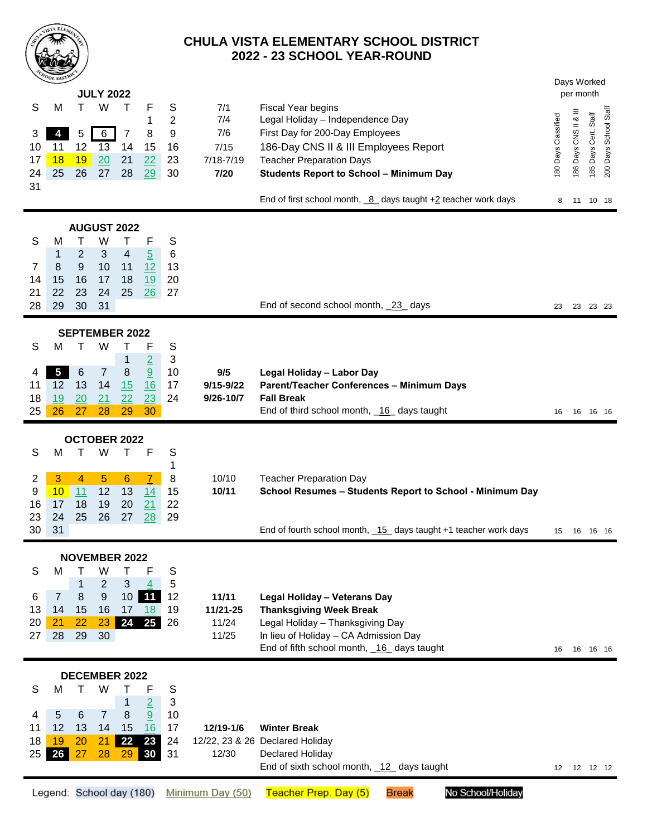

## **CHULA VISTA ELEMENTARY SCHOOL DISTRICT - 23 SCHOOL YEAR-ROUND**

|                                | <b>MOOL DISTRIC</b><br><b>JULY 2022</b>        |                                          |                                                     |                                                |                                                            |                                            |                                                    |                                                                                                                                                                                                                         |                     |                       | Days Worked<br>per month |                       |  |  |  |
|--------------------------------|------------------------------------------------|------------------------------------------|-----------------------------------------------------|------------------------------------------------|------------------------------------------------------------|--------------------------------------------|----------------------------------------------------|-------------------------------------------------------------------------------------------------------------------------------------------------------------------------------------------------------------------------|---------------------|-----------------------|--------------------------|-----------------------|--|--|--|
| S<br>3<br>10<br>17<br>24<br>31 | M<br>4<br>11<br>18<br>25                       | т<br>5<br>12<br>19<br>26                 | W<br>$6\phantom{1}6$<br>$\overline{13}$<br>20<br>27 | Т<br>7<br>14<br>21<br>28                       | F<br>1<br>8<br>15<br>22<br>29                              | S<br>$\overline{2}$<br>9<br>16<br>23<br>30 | 7/1<br>7/4<br>7/6<br>7/15<br>$7/18 - 7/19$<br>7/20 | Fiscal Year begins<br>Legal Holiday - Independence Day<br>First Day for 200-Day Employees<br>186-Day CNS II & III Employees Report<br><b>Teacher Preparation Days</b><br><b>Students Report to School - Minimum Day</b> | 180 Days Classified | 186 Days CNS II & III | Staff<br>185 Days Cert.  | 200 Days School Staff |  |  |  |
|                                |                                                |                                          |                                                     |                                                |                                                            |                                            |                                                    | End of first school month, $_{8}$ days taught +2 teacher work days                                                                                                                                                      | 8                   |                       | 11 10 18                 |                       |  |  |  |
| S<br>7<br>14<br>21<br>28       | M<br>1<br>8<br>15<br>22<br>29                  | т<br>2<br>$9$<br>16<br>23<br>30          | W<br>3<br>10<br>17<br>24<br>31                      | <b>AUGUST 2022</b><br>т<br>4<br>11<br>18<br>25 | F<br>$\overline{5}$<br>12<br>19<br>26                      | S<br>6<br>13<br>20<br>27                   |                                                    | End of second school month, 23 days                                                                                                                                                                                     | 23                  |                       | 23 23 23                 |                       |  |  |  |
| <b>SEPTEMBER 2022</b>          |                                                |                                          |                                                     |                                                |                                                            |                                            |                                                    |                                                                                                                                                                                                                         |                     |                       |                          |                       |  |  |  |
| S<br>4<br>11<br>18<br>25       | м<br>$\overline{\mathbf{5}}$<br>12<br>19<br>26 | т<br>$\,6$<br>13<br>20<br>27             | W<br>$\overline{7}$<br>14<br>21<br>28               | Τ<br>$\mathbf 1$<br>8<br>15<br>22<br>29        | F<br>$rac{2}{9}$<br>16<br>23<br>30                         | S<br>$\sqrt{3}$<br>10<br>17<br>24          | 9/5<br>9/15-9/22<br>9/26-10/7                      | Legal Holiday - Labor Day<br>Parent/Teacher Conferences - Minimum Days<br><b>Fall Break</b><br>End of third school month, 16 days taught                                                                                | 16                  | 16 16 16              |                          |                       |  |  |  |
| OCTOBER 2022                   |                                                |                                          |                                                     |                                                |                                                            |                                            |                                                    |                                                                                                                                                                                                                         |                     |                       |                          |                       |  |  |  |
| S<br>2<br>9<br>16<br>23<br>30  | M<br>3<br>10<br>17<br>24<br>31                 | 4<br>11<br>18<br>25                      | W<br>$\overline{5}$<br>12<br>19<br>26               | Т<br>$6\phantom{1}6$<br>13<br>20<br>27         | F<br>$\overline{7}$<br>14<br>21<br>28                      | S<br>1<br>8<br>15<br>22<br>29              | 10/10<br>10/11                                     | <b>Teacher Preparation Day</b><br>School Resumes - Students Report to School - Minimum Day<br>End of fourth school month, 15 days taught +1 teacher work days                                                           | 15                  |                       | 16 16 16                 |                       |  |  |  |
| <b>NOVEMBER 2022</b>           |                                                |                                          |                                                     |                                                |                                                            |                                            |                                                    |                                                                                                                                                                                                                         |                     |                       |                          |                       |  |  |  |
| S<br>6<br>13<br>20<br>27       | М<br>$\overline{7}$<br>14<br>21<br>28          | т<br>$\mathbf{1}$<br>8<br>15<br>22<br>29 | W<br>$\overline{2}$<br>$9\,$<br>16<br>23<br>30      | т<br>3<br>10 <sup>1</sup><br>17<br>24          | F<br>4<br>11<br>18<br>25 <sub>1</sub>                      | S<br>5<br>12<br>19<br>26                   | 11/11<br>11/21-25<br>11/24<br>11/25                | Legal Holiday - Veterans Day<br><b>Thanksgiving Week Break</b><br>Legal Holiday - Thanksgiving Day<br>In lieu of Holiday - CA Admission Day<br>End of fifth school month, 16 days taught                                |                     | 16 16 16 16           |                          |                       |  |  |  |
| <b>DECEMBER 2022</b>           |                                                |                                          |                                                     |                                                |                                                            |                                            |                                                    |                                                                                                                                                                                                                         |                     |                       |                          |                       |  |  |  |
| S<br>4<br>11<br>18<br>25       | M<br>$\overline{5}$<br>12<br>19<br>26          | т<br>6<br>13<br>20<br>27                 | W<br>$\overline{7}$<br>14<br>21<br>28               | Τ<br>1<br>8<br>15<br> 22 <br>29                | F<br>$\overline{2}$<br>$\overline{9}$<br>16<br>23<br>30 31 | S<br>$\sqrt{3}$<br>10<br>17<br>24          | 12/19-1/6<br>12/30                                 | <b>Winter Break</b><br>12/22, 23 & 26 Declared Holiday<br>Declared Holiday<br>End of sixth school month, 12 days taught                                                                                                 |                     | 12  12  12  12        |                          |                       |  |  |  |